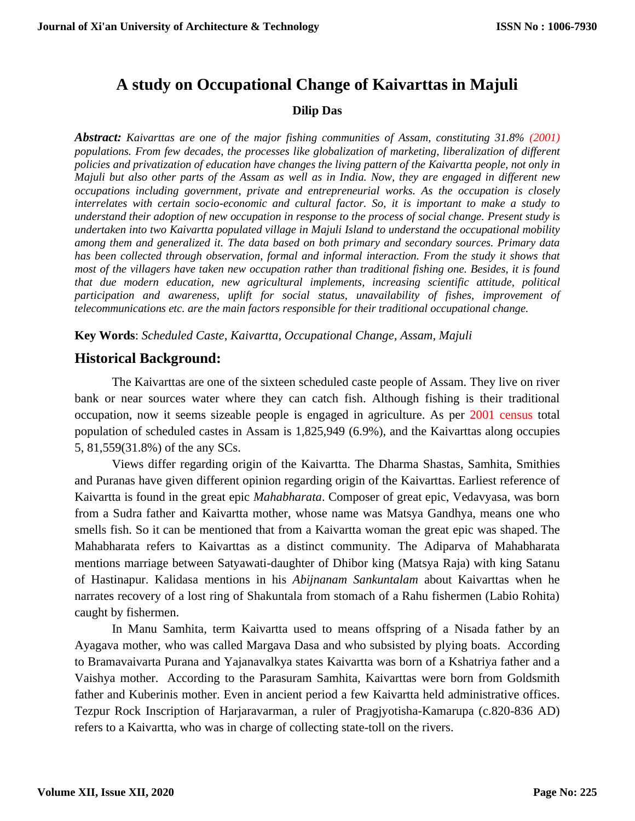# **A study on Occupational Change of Kaivarttas in Majuli**

#### **Dilip Das**

*Abstract: Kaivarttas are one of the major fishing communities of Assam, constituting 31.8% (2001) populations. From few decades, the processes like globalization of marketing, liberalization of different policies and privatization of education have changes the living pattern of the Kaivartta people, not only in Majuli but also other parts of the Assam as well as in India. Now, they are engaged in different new occupations including government, private and entrepreneurial works. As the occupation is closely interrelates with certain socio-economic and cultural factor. So, it is important to make a study to understand their adoption of new occupation in response to the process of social change. Present study is undertaken into two Kaivartta populated village in Majuli Island to understand the occupational mobility among them and generalized it. The data based on both primary and secondary sources. Primary data has been collected through observation, formal and informal interaction. From the study it shows that most of the villagers have taken new occupation rather than traditional fishing one. Besides, it is found that due modern education, new agricultural implements, increasing scientific attitude, political participation and awareness, uplift for social status, unavailability of fishes, improvement of telecommunications etc. are the main factors responsible for their traditional occupational change.*

**Key Words**: *Scheduled Caste*, *Kaivartta, Occupational Change, Assam, Majuli*

## **Historical Background:**

The Kaivarttas are one of the sixteen scheduled caste people of Assam. They live on river bank or near sources water where they can catch fish. Although fishing is their traditional occupation, now it seems sizeable people is engaged in agriculture. As per 2001 census total population of scheduled castes in Assam is 1,825,949 (6.9%), and the Kaivarttas along occupies 5, 81,559(31.8%) of the any SCs.

Views differ regarding origin of the Kaivartta. The Dharma Shastas, Samhita, Smithies and Puranas have given different opinion regarding origin of the Kaivarttas. Earliest reference of Kaivartta is found in the great epic *Mahabharata*. Composer of great epic, Vedavyasa, was born from a Sudra father and Kaivartta mother, whose name was Matsya Gandhya, means one who smells fish. So it can be mentioned that from a Kaivartta woman the great epic was shaped. The Mahabharata refers to Kaivarttas as a distinct community. The Adiparva of Mahabharata mentions marriage between Satyawati-daughter of Dhibor king (Matsya Raja) with king Satanu of Hastinapur. Kalidasa mentions in his *Abijnanam Sankuntalam* about Kaivarttas when he narrates recovery of a lost ring of Shakuntala from stomach of a Rahu fishermen (Labio Rohita) caught by fishermen.

In Manu Samhita, term Kaivartta used to means offspring of a Nisada father by an Ayagava mother, who was called Margava Dasa and who subsisted by plying boats. According to Bramavaivarta Purana and Yajanavalkya states Kaivartta was born of a Kshatriya father and a Vaishya mother. According to the Parasuram Samhita, Kaivarttas were born from Goldsmith father and Kuberinis mother. Even in ancient period a few Kaivartta held administrative offices. Tezpur Rock Inscription of Harjaravarman, a ruler of Pragjyotisha-Kamarupa (c.820-836 AD) refers to a Kaivartta, who was in charge of collecting state-toll on the rivers.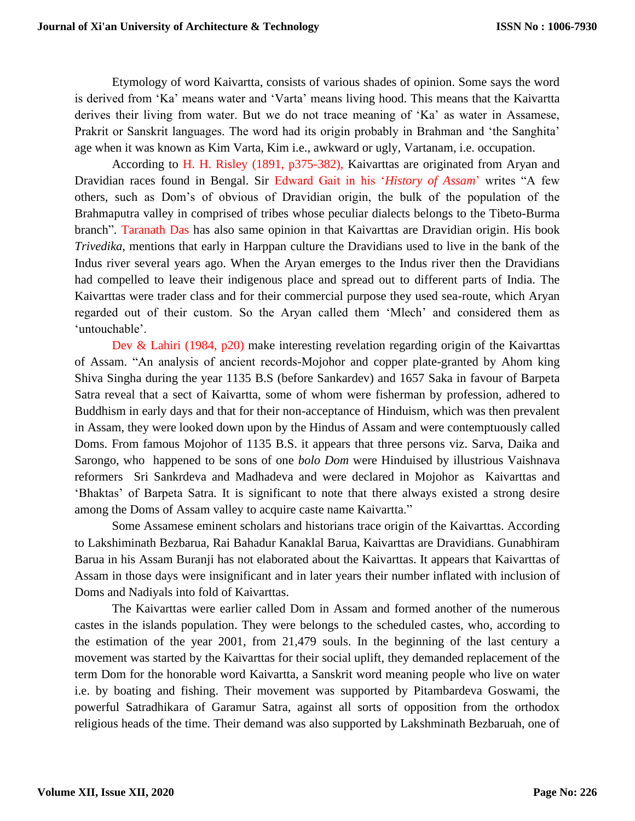Etymology of word Kaivartta, consists of various shades of opinion. Some says the word is derived from 'Ka' means water and 'Varta' means living hood. This means that the Kaivartta derives their living from water. But we do not trace meaning of 'Ka' as water in Assamese, Prakrit or Sanskrit languages. The word had its origin probably in Brahman and 'the Sanghita' age when it was known as Kim Varta, Kim i.e., awkward or ugly, Vartanam, i.e. occupation.

According to H. H. Risley (1891, p375-382), Kaivarttas are originated from Aryan and Dravidian races found in Bengal. Sir Edward Gait in his '*History of Assam*' writes "A few others, such as Dom's of obvious of Dravidian origin, the bulk of the population of the Brahmaputra valley in comprised of tribes whose peculiar dialects belongs to the Tibeto-Burma branch". Taranath Das has also same opinion in that Kaivarttas are Dravidian origin. His book *Trivedika*, mentions that early in Harppan culture the Dravidians used to live in the bank of the Indus river several years ago. When the Aryan emerges to the Indus river then the Dravidians had compelled to leave their indigenous place and spread out to different parts of India. The Kaivarttas were trader class and for their commercial purpose they used sea-route, which Aryan regarded out of their custom. So the Aryan called them 'Mlech' and considered them as 'untouchable'.

Dev & Lahiri (1984, p20) make interesting revelation regarding origin of the Kaivarttas of Assam. "An analysis of ancient records-Mojohor and copper plate-granted by Ahom king Shiva Singha during the year 1135 B.S (before Sankardev) and 1657 Saka in favour of Barpeta Satra reveal that a sect of Kaivartta, some of whom were fisherman by profession, adhered to Buddhism in early days and that for their non-acceptance of Hinduism, which was then prevalent in Assam, they were looked down upon by the Hindus of Assam and were contemptuously called Doms. From famous Mojohor of 1135 B.S. it appears that three persons viz. Sarva, Daika and Sarongo, who happened to be sons of one *bolo Dom* were Hinduised by illustrious Vaishnava reformers Sri Sankrdeva and Madhadeva and were declared in Mojohor as Kaivarttas and 'Bhaktas' of Barpeta Satra. It is significant to note that there always existed a strong desire among the Doms of Assam valley to acquire caste name Kaivartta."

Some Assamese eminent scholars and historians trace origin of the Kaivarttas. According to Lakshiminath Bezbarua, Rai Bahadur Kanaklal Barua, Kaivarttas are Dravidians. Gunabhiram Barua in his Assam Buranji has not elaborated about the Kaivarttas. It appears that Kaivarttas of Assam in those days were insignificant and in later years their number inflated with inclusion of Doms and Nadiyals into fold of Kaivarttas.

The Kaivarttas were earlier called Dom in Assam and formed another of the numerous castes in the islands population. They were belongs to the scheduled castes, who, according to the estimation of the year 2001, from 21,479 souls. In the beginning of the last century a movement was started by the Kaivarttas for their social uplift, they demanded replacement of the term Dom for the honorable word Kaivartta, a Sanskrit word meaning people who live on water i.e. by boating and fishing. Their movement was supported by Pitambardeva Goswami, the powerful Satradhikara of Garamur Satra, against all sorts of opposition from the orthodox religious heads of the time. Their demand was also supported by Lakshminath Bezbaruah, one of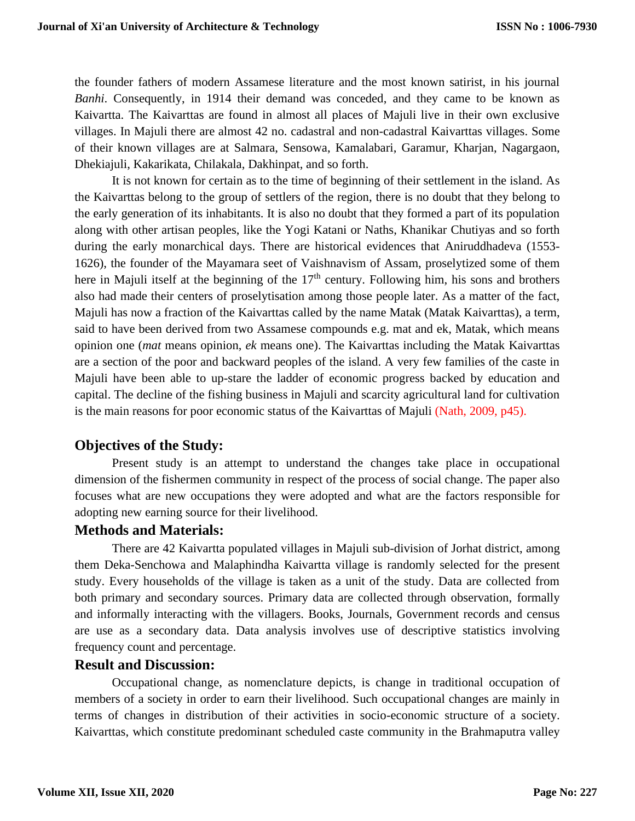the founder fathers of modern Assamese literature and the most known satirist, in his journal *Banhi*. Consequently, in 1914 their demand was conceded, and they came to be known as Kaivartta. The Kaivarttas are found in almost all places of Majuli live in their own exclusive villages. In Majuli there are almost 42 no. cadastral and non-cadastral Kaivarttas villages. Some of their known villages are at Salmara, Sensowa, Kamalabari, Garamur, Kharjan, Nagargaon, Dhekiajuli, Kakarikata, Chilakala, Dakhinpat, and so forth.

It is not known for certain as to the time of beginning of their settlement in the island. As the Kaivarttas belong to the group of settlers of the region, there is no doubt that they belong to the early generation of its inhabitants. It is also no doubt that they formed a part of its population along with other artisan peoples, like the Yogi Katani or Naths, Khanikar Chutiyas and so forth during the early monarchical days. There are historical evidences that Aniruddhadeva (1553- 1626), the founder of the Mayamara seet of Vaishnavism of Assam, proselytized some of them here in Majuli itself at the beginning of the  $17<sup>th</sup>$  century. Following him, his sons and brothers also had made their centers of proselytisation among those people later. As a matter of the fact, Majuli has now a fraction of the Kaivarttas called by the name Matak (Matak Kaivarttas), a term, said to have been derived from two Assamese compounds e.g. mat and ek, Matak, which means opinion one (*mat* means opinion, *ek* means one). The Kaivarttas including the Matak Kaivarttas are a section of the poor and backward peoples of the island. A very few families of the caste in Majuli have been able to up-stare the ladder of economic progress backed by education and capital. The decline of the fishing business in Majuli and scarcity agricultural land for cultivation is the main reasons for poor economic status of the Kaivarttas of Majuli (Nath, 2009, p45).

## **Objectives of the Study:**

Present study is an attempt to understand the changes take place in occupational dimension of the fishermen community in respect of the process of social change. The paper also focuses what are new occupations they were adopted and what are the factors responsible for adopting new earning source for their livelihood.

### **Methods and Materials:**

There are 42 Kaivartta populated villages in Majuli sub-division of Jorhat district, among them Deka-Senchowa and Malaphindha Kaivartta village is randomly selected for the present study. Every households of the village is taken as a unit of the study. Data are collected from both primary and secondary sources. Primary data are collected through observation, formally and informally interacting with the villagers. Books, Journals, Government records and census are use as a secondary data. Data analysis involves use of descriptive statistics involving frequency count and percentage.

## **Result and Discussion:**

Occupational change, as nomenclature depicts, is change in traditional occupation of members of a society in order to earn their livelihood. Such occupational changes are mainly in terms of changes in distribution of their activities in socio-economic structure of a society. Kaivarttas, which constitute predominant scheduled caste community in the Brahmaputra valley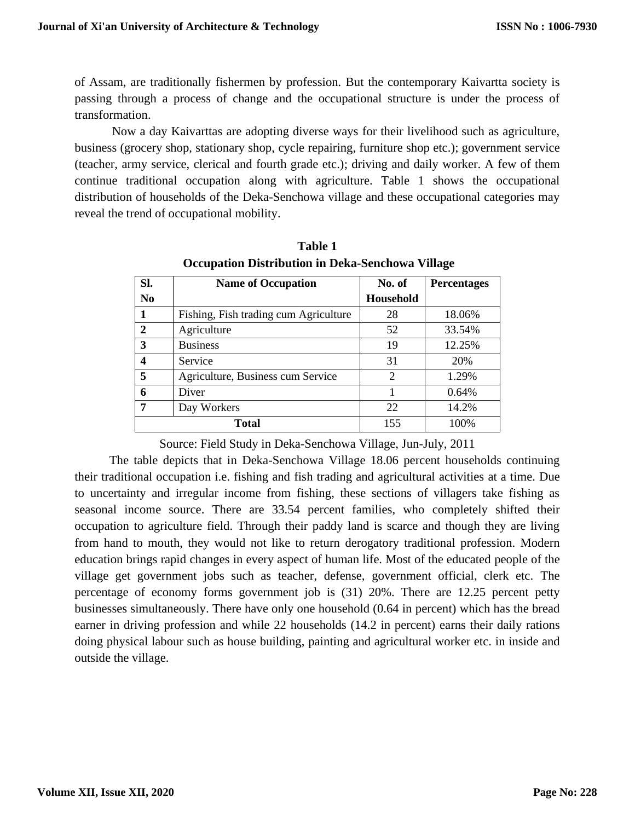of Assam, are traditionally fishermen by profession. But the contemporary Kaivartta society is passing through a process of change and the occupational structure is under the process of transformation.

Now a day Kaivarttas are adopting diverse ways for their livelihood such as agriculture, business (grocery shop, stationary shop, cycle repairing, furniture shop etc.); government service (teacher, army service, clerical and fourth grade etc.); driving and daily worker. A few of them continue traditional occupation along with agriculture. Table 1 shows the occupational distribution of households of the Deka-Senchowa village and these occupational categories may reveal the trend of occupational mobility.

| Sl.            | <b>Name of Occupation</b>             | No. of           | <b>Percentages</b> |
|----------------|---------------------------------------|------------------|--------------------|
| N <sub>0</sub> |                                       | <b>Household</b> |                    |
|                | Fishing, Fish trading cum Agriculture | 28               | 18.06%             |
| $\mathbf{2}$   | Agriculture                           | 52               | 33.54%             |
| 3              | <b>Business</b>                       | 19               | 12.25%             |
| 4              | Service                               | 31               | 20%                |
| 5              | Agriculture, Business cum Service     | $\overline{c}$   | 1.29%              |
| 6              | Diver                                 |                  | 0.64%              |
| 7              | Day Workers                           | 22               | 14.2%              |
| <b>Total</b>   |                                       | 155              | 100%               |

**Table 1 Occupation Distribution in Deka-Senchowa Village**

Source: Field Study in Deka-Senchowa Village, Jun-July, 2011

The table depicts that in Deka-Senchowa Village 18.06 percent households continuing their traditional occupation i.e. fishing and fish trading and agricultural activities at a time. Due to uncertainty and irregular income from fishing, these sections of villagers take fishing as seasonal income source. There are 33.54 percent families, who completely shifted their occupation to agriculture field. Through their paddy land is scarce and though they are living from hand to mouth, they would not like to return derogatory traditional profession. Modern education brings rapid changes in every aspect of human life. Most of the educated people of the village get government jobs such as teacher, defense, government official, clerk etc. The percentage of economy forms government job is (31) 20%. There are 12.25 percent petty businesses simultaneously. There have only one household (0.64 in percent) which has the bread earner in driving profession and while 22 households (14.2 in percent) earns their daily rations doing physical labour such as house building, painting and agricultural worker etc. in inside and outside the village.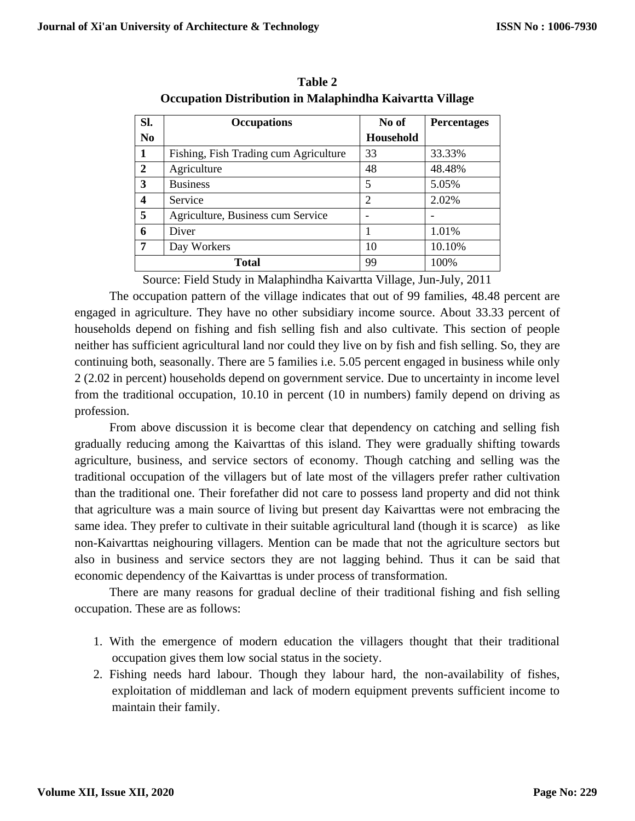| Sl.            | <b>Occupations</b>                    | No of            | <b>Percentages</b> |
|----------------|---------------------------------------|------------------|--------------------|
| N <sub>0</sub> |                                       | <b>Household</b> |                    |
| 1              | Fishing, Fish Trading cum Agriculture | 33               | 33.33%             |
| $\overline{2}$ | Agriculture                           | 48               | 48.48%             |
| 3              | <b>Business</b>                       | 5                | 5.05%              |
| 4              | Service                               | $\overline{2}$   | 2.02%              |
| 5              | Agriculture, Business cum Service     |                  |                    |
| 6              | Diver                                 |                  | 1.01%              |
| 7              | Day Workers                           | 10               | 10.10%             |
| <b>Total</b>   |                                       | 99               | 100%               |

**Table 2 Occupation Distribution in Malaphindha Kaivartta Village**

Source: Field Study in Malaphindha Kaivartta Village, Jun-July, 2011

The occupation pattern of the village indicates that out of 99 families, 48.48 percent are engaged in agriculture. They have no other subsidiary income source. About 33.33 percent of households depend on fishing and fish selling fish and also cultivate. This section of people neither has sufficient agricultural land nor could they live on by fish and fish selling. So, they are continuing both, seasonally. There are 5 families i.e. 5.05 percent engaged in business while only 2 (2.02 in percent) households depend on government service. Due to uncertainty in income level from the traditional occupation, 10.10 in percent (10 in numbers) family depend on driving as profession.

From above discussion it is become clear that dependency on catching and selling fish gradually reducing among the Kaivarttas of this island. They were gradually shifting towards agriculture, business, and service sectors of economy. Though catching and selling was the traditional occupation of the villagers but of late most of the villagers prefer rather cultivation than the traditional one. Their forefather did not care to possess land property and did not think that agriculture was a main source of living but present day Kaivarttas were not embracing the same idea. They prefer to cultivate in their suitable agricultural land (though it is scarce) as like non-Kaivarttas neighouring villagers. Mention can be made that not the agriculture sectors but also in business and service sectors they are not lagging behind. Thus it can be said that economic dependency of the Kaivarttas is under process of transformation.

There are many reasons for gradual decline of their traditional fishing and fish selling occupation. These are as follows:

- 1. With the emergence of modern education the villagers thought that their traditional occupation gives them low social status in the society.
- 2. Fishing needs hard labour. Though they labour hard, the non-availability of fishes, exploitation of middleman and lack of modern equipment prevents sufficient income to maintain their family.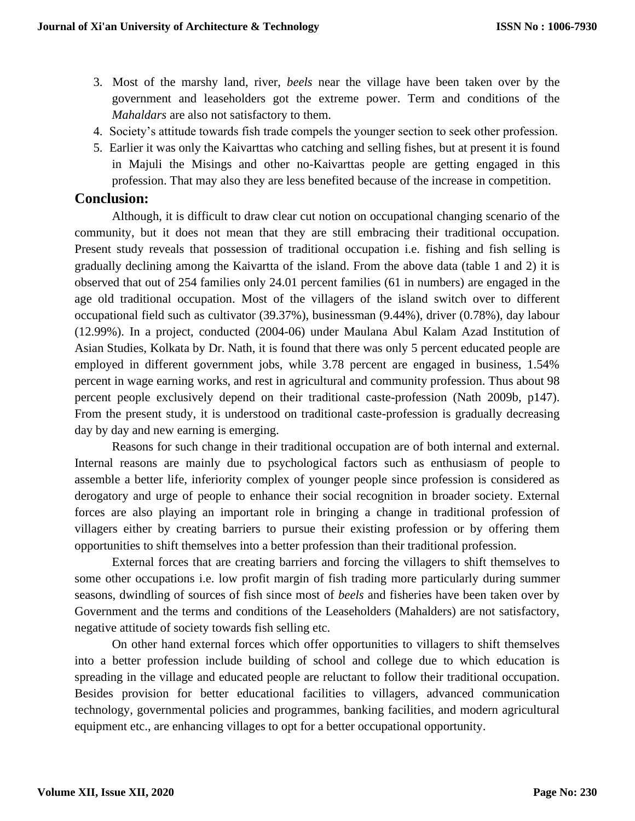- 3. Most of the marshy land, river, *beels* near the village have been taken over by the government and leaseholders got the extreme power. Term and conditions of the *Mahaldars* are also not satisfactory to them.
- 4. Society's attitude towards fish trade compels the younger section to seek other profession.
- 5. Earlier it was only the Kaivarttas who catching and selling fishes, but at present it is found in Majuli the Misings and other no-Kaivarttas people are getting engaged in this profession. That may also they are less benefited because of the increase in competition.

## **Conclusion:**

Although, it is difficult to draw clear cut notion on occupational changing scenario of the community, but it does not mean that they are still embracing their traditional occupation. Present study reveals that possession of traditional occupation i.e. fishing and fish selling is gradually declining among the Kaivartta of the island. From the above data (table 1 and 2) it is observed that out of 254 families only 24.01 percent families (61 in numbers) are engaged in the age old traditional occupation. Most of the villagers of the island switch over to different occupational field such as cultivator (39.37%), businessman (9.44%), driver (0.78%), day labour (12.99%). In a project, conducted (2004-06) under Maulana Abul Kalam Azad Institution of Asian Studies, Kolkata by Dr. Nath, it is found that there was only 5 percent educated people are employed in different government jobs, while 3.78 percent are engaged in business, 1.54% percent in wage earning works, and rest in agricultural and community profession. Thus about 98 percent people exclusively depend on their traditional caste-profession (Nath 2009b, p147). From the present study, it is understood on traditional caste-profession is gradually decreasing day by day and new earning is emerging.

Reasons for such change in their traditional occupation are of both internal and external. Internal reasons are mainly due to psychological factors such as enthusiasm of people to assemble a better life, inferiority complex of younger people since profession is considered as derogatory and urge of people to enhance their social recognition in broader society. External forces are also playing an important role in bringing a change in traditional profession of villagers either by creating barriers to pursue their existing profession or by offering them opportunities to shift themselves into a better profession than their traditional profession.

External forces that are creating barriers and forcing the villagers to shift themselves to some other occupations i.e. low profit margin of fish trading more particularly during summer seasons, dwindling of sources of fish since most of *beels* and fisheries have been taken over by Government and the terms and conditions of the Leaseholders (Mahalders) are not satisfactory, negative attitude of society towards fish selling etc.

On other hand external forces which offer opportunities to villagers to shift themselves into a better profession include building of school and college due to which education is spreading in the village and educated people are reluctant to follow their traditional occupation. Besides provision for better educational facilities to villagers, advanced communication technology, governmental policies and programmes, banking facilities, and modern agricultural equipment etc., are enhancing villages to opt for a better occupational opportunity.